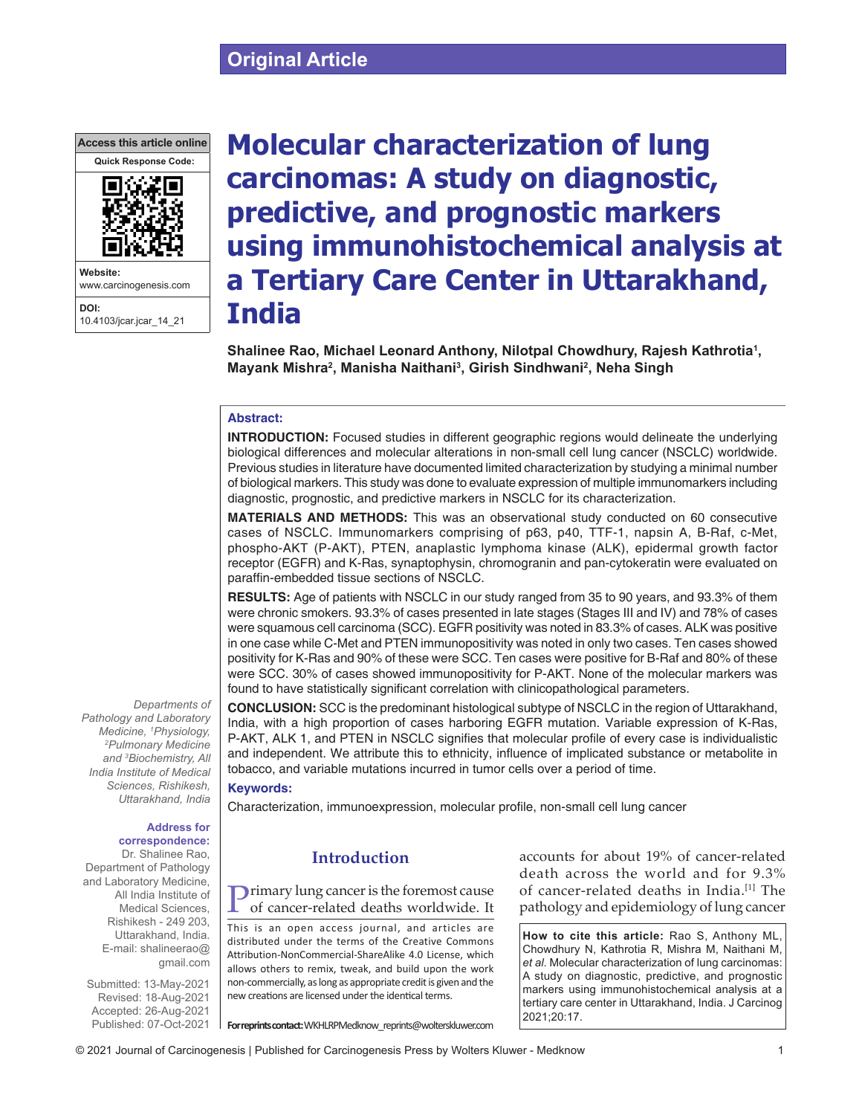## **Original Article**





10.4103/jcar.jcar\_14\_21

# **Molecular characterization of lung carcinomas: A study on diagnostic, predictive, and prognostic markers using immunohistochemical analysis at a Tertiary Care Center in Uttarakhand, India**

**Shalinee Rao, Michael Leonard Anthony, Nilotpal Chowdhury, Rajesh Kathrotia1 , Mayank Mishra2 , Manisha Naithani3 , Girish Sindhwani2 , Neha Singh**

## **Abstract:**

**INTRODUCTION:** Focused studies in different geographic regions would delineate the underlying biological differences and molecular alterations in non-small cell lung cancer (NSCLC) worldwide. Previous studies in literature have documented limited characterization by studying a minimal number of biological markers. This study was done to evaluate expression of multiple immunomarkers including diagnostic, prognostic, and predictive markers in NSCLC for its characterization.

**MATERIALS AND METHODS:** This was an observational study conducted on 60 consecutive cases of NSCLC. Immunomarkers comprising of p63, p40, TTF-1, napsin A, B-Raf, c-Met, phospho‑AKT (P‑AKT), PTEN, anaplastic lymphoma kinase (ALK), epidermal growth factor receptor (EGFR) and K-Ras, synaptophysin, chromogranin and pan-cytokeratin were evaluated on paraffin‑embedded tissue sections of NSCLC.

**RESULTS:** Age of patients with NSCLC in our study ranged from 35 to 90 years, and 93.3% of them were chronic smokers. 93.3% of cases presented in late stages (Stages III and IV) and 78% of cases were squamous cell carcinoma (SCC). EGFR positivity was noted in 83.3% of cases. ALK was positive in one case while C‑Met and PTEN immunopositivity was noted in only two cases. Ten cases showed positivity for K-Ras and 90% of these were SCC. Ten cases were positive for B-Raf and 80% of these were SCC. 30% of cases showed immunopositivity for P‑AKT. None of the molecular markers was found to have statistically significant correlation with clinicopathological parameters.

**CONCLUSION:** SCC is the predominant histological subtype of NSCLC in the region of Uttarakhand, India, with a high proportion of cases harboring EGFR mutation. Variable expression of K-Ras, P‑AKT, ALK 1, and PTEN in NSCLC signifies that molecular profile of every case is individualistic and independent. We attribute this to ethnicity, influence of implicated substance or metabolite in tobacco, and variable mutations incurred in tumor cells over a period of time.

#### **Keywords:**

Characterization, immunoexpression, molecular profile, non‑small cell lung cancer

#### **Address for correspondence:**

*Departments of* 

*Pathology and Laboratory Medicine, 1 Physiology, 2 Pulmonary Medicine and 3 Biochemistry, All India Institute of Medical Sciences, Rishikesh, Uttarakhand, India*

Dr. Shalinee Rao, Department of Pathology and Laboratory Medicine, All India Institute of Medical Sciences, Rishikesh - 249 203, Uttarakhand, India. E-mail: shalineerao@ gmail.com

Submitted: 13-May-2021 Revised: 18-Aug-2021 Accepted: 26-Aug-2021 Published: 07-Oct-2021

## **Introduction**

Primary lung cancer is the foremost cause of cancer‑related deaths worldwide. It

This is an open access journal, and articles are distributed under the terms of the Creative Commons Attribution‑NonCommercial‑ShareAlike 4.0 License, which allows others to remix, tweak, and build upon the work non‑commercially, as long as appropriate credit is given and the new creations are licensed under the identical terms.

accounts for about 19% of cancer‑related death across the world and for 9.3% of cancer-related deaths in India.<sup>[1]</sup> The pathology and epidemiology of lung cancer

**How to cite this article:** Rao S, Anthony ML, Chowdhury N, Kathrotia R, Mishra M, Naithani M, *et al*. Molecular characterization of lung carcinomas: A study on diagnostic, predictive, and prognostic markers using immunohistochemical analysis at a tertiary care center in Uttarakhand, India. J Carcinog 2021;20:17.

**For reprints contact:** WKHLRPMedknow\_reprints@wolterskluwer.com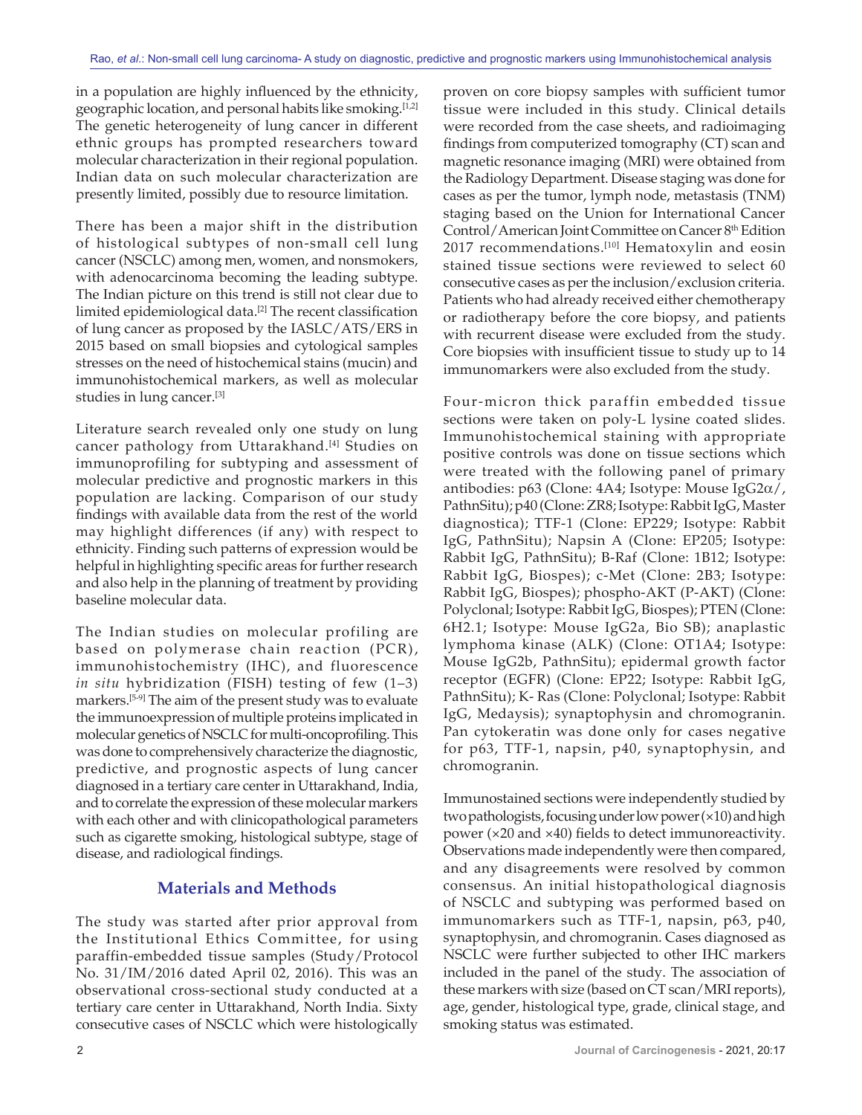in a population are highly influenced by the ethnicity, geographic location, and personal habits like smoking.<sup>[1,2]</sup> The genetic heterogeneity of lung cancer in different ethnic groups has prompted researchers toward molecular characterization in their regional population. Indian data on such molecular characterization are presently limited, possibly due to resource limitation.

There has been a major shift in the distribution of histological subtypes of non‑small cell lung cancer (NSCLC) among men, women, and nonsmokers, with adenocarcinoma becoming the leading subtype. The Indian picture on this trend is still not clear due to limited epidemiological data.<sup>[2]</sup> The recent classification of lung cancer as proposed by the IASLC/ATS/ERS in 2015 based on small biopsies and cytological samples stresses on the need of histochemical stains (mucin) and immunohistochemical markers, as well as molecular studies in lung cancer.[3]

Literature search revealed only one study on lung cancer pathology from Uttarakhand.<sup>[4]</sup> Studies on immunoprofiling for subtyping and assessment of molecular predictive and prognostic markers in this population are lacking. Comparison of our study findings with available data from the rest of the world may highlight differences (if any) with respect to ethnicity. Finding such patterns of expression would be helpful in highlighting specific areas for further research and also help in the planning of treatment by providing baseline molecular data.

The Indian studies on molecular profiling are based on polymerase chain reaction (PCR), immunohistochemistry (IHC), and fluorescence *in situ* hybridization (FISH) testing of few (1–3) markers.[5‑9] The aim of the present study was to evaluate the immunoexpression of multiple proteins implicated in molecular genetics of NSCLC for multi-oncoprofiling. This was done to comprehensively characterize the diagnostic, predictive, and prognostic aspects of lung cancer diagnosed in a tertiary care center in Uttarakhand, India, and to correlate the expression of these molecular markers with each other and with clinicopathological parameters such as cigarette smoking, histological subtype, stage of disease, and radiological findings.

## **Materials and Methods**

The study was started after prior approval from the Institutional Ethics Committee, for using paraffin‑embedded tissue samples (Study/Protocol No. 31/IM/2016 dated April 02, 2016). This was an observational cross‑sectional study conducted at a tertiary care center in Uttarakhand, North India. Sixty consecutive cases of NSCLC which were histologically proven on core biopsy samples with sufficient tumor tissue were included in this study. Clinical details were recorded from the case sheets, and radioimaging findings from computerized tomography (CT) scan and magnetic resonance imaging (MRI) were obtained from the Radiology Department. Disease staging was done for cases as per the tumor, lymph node, metastasis (TNM) staging based on the Union for International Cancer Control/American Joint Committee on Cancer 8<sup>th</sup> Edition 2017 recommendations.<sup>[10]</sup> Hematoxylin and eosin stained tissue sections were reviewed to select 60 consecutive cases as per the inclusion/exclusion criteria. Patients who had already received either chemotherapy or radiotherapy before the core biopsy, and patients with recurrent disease were excluded from the study. Core biopsies with insufficient tissue to study up to 14 immunomarkers were also excluded from the study.

Four‑micron thick paraffin embedded tissue sections were taken on poly-L lysine coated slides. Immunohistochemical staining with appropriate positive controls was done on tissue sections which were treated with the following panel of primary antibodies:  $p63$  (Clone: 4A4; Isotype: Mouse IgG2 $\alpha$ /, PathnSitu); p40 (Clone: ZR8; Isotype: Rabbit IgG, Master diagnostica); TTF‑1 (Clone: EP229; Isotype: Rabbit IgG, PathnSitu); Napsin A (Clone: EP205; Isotype: Rabbit IgG, PathnSitu); B‑Raf (Clone: 1B12; Isotype: Rabbit IgG, Biospes); c‑Met (Clone: 2B3; Isotype: Rabbit IgG, Biospes); phospho‑AKT (P‑AKT) (Clone: Polyclonal; Isotype: Rabbit IgG, Biospes); PTEN (Clone: 6H2.1; Isotype: Mouse IgG2a, Bio SB); anaplastic lymphoma kinase (ALK) (Clone: OT1A4; Isotype: Mouse IgG2b, PathnSitu); epidermal growth factor receptor (EGFR) (Clone: EP22; Isotype: Rabbit IgG, PathnSitu); K‑ Ras (Clone: Polyclonal; Isotype: Rabbit IgG, Medaysis); synaptophysin and chromogranin. Pan cytokeratin was done only for cases negative for p63, TTF‑1, napsin, p40, synaptophysin, and chromogranin.

Immunostained sections were independently studied by two pathologists, focusing under low power(×10) and high power (×20 and ×40) fields to detect immunoreactivity. Observations made independently were then compared, and any disagreements were resolved by common consensus. An initial histopathological diagnosis of NSCLC and subtyping was performed based on immunomarkers such as TTF‑1, napsin, p63, p40, synaptophysin, and chromogranin. Cases diagnosed as NSCLC were further subjected to other IHC markers included in the panel of the study. The association of these markers with size (based on CT scan/MRI reports), age, gender, histological type, grade, clinical stage, and smoking status was estimated.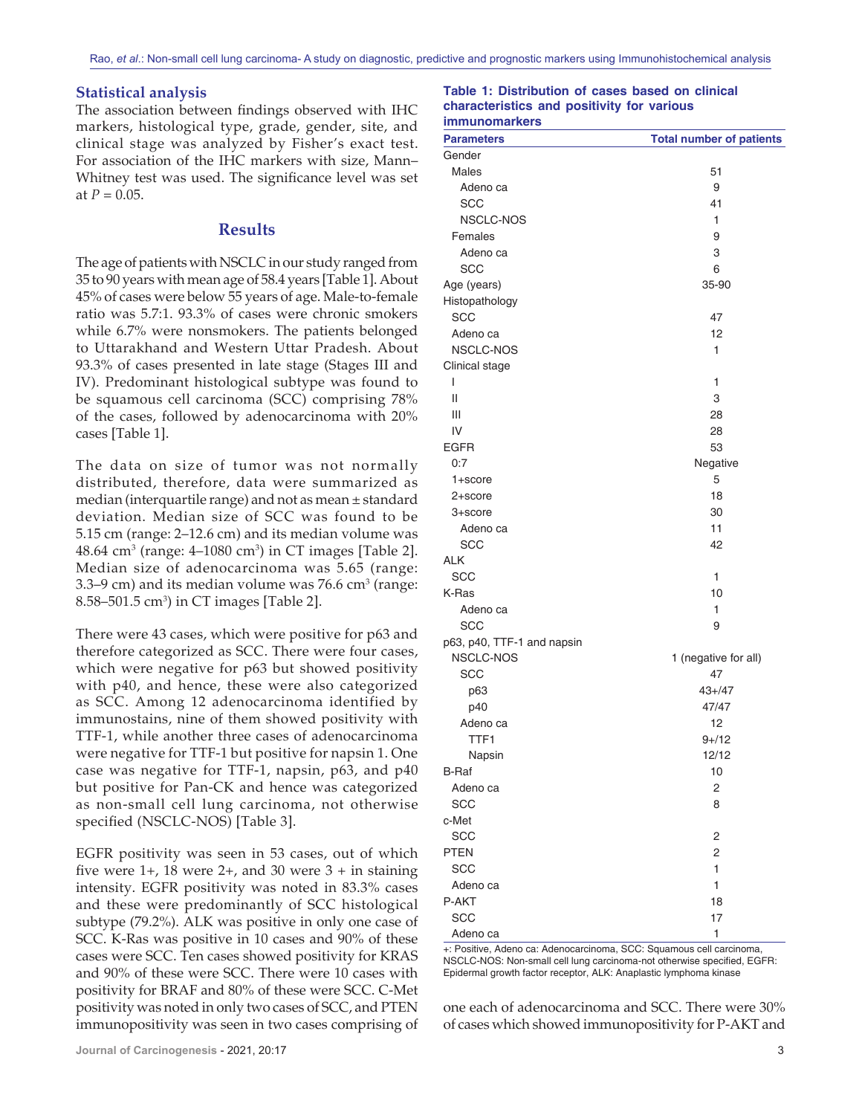#### **Statistical analysis**

The association between findings observed with IHC markers, histological type, grade, gender, site, and clinical stage was analyzed by Fisher's exact test. For association of the IHC markers with size, Mann– Whitney test was used. The significance level was set at  $P = 0.05$ .

#### **Results**

The age of patients with NSCLC in our study ranged from 35 to 90 years with mean age of 58.4 years [Table 1]. About 45% of cases were below 55 years of age. Male-to-female ratio was 5.7:1. 93.3% of cases were chronic smokers while 6.7% were nonsmokers. The patients belonged to Uttarakhand and Western Uttar Pradesh. About 93.3% of cases presented in late stage (Stages III and IV). Predominant histological subtype was found to be squamous cell carcinoma (SCC) comprising 78% of the cases, followed by adenocarcinoma with 20% cases [Table 1].

The data on size of tumor was not normally distributed, therefore, data were summarized as median (interquartile range) and not as mean ± standard deviation. Median size of SCC was found to be 5.15 cm (range: 2–12.6 cm) and its median volume was  $48.64 \text{ cm}^3$  (range:  $4\text{--}1080 \text{ cm}^3$ ) in CT images [Table 2]. Median size of adenocarcinoma was 5.65 (range: 3.3–9 cm) and its median volume was  $76.6$  cm<sup>3</sup> (range: 8.58–501.5 cm<sup>3</sup>) in CT images [Table 2].

There were 43 cases, which were positive for p63 and therefore categorized as SCC. There were four cases, which were negative for p63 but showed positivity with p40, and hence, these were also categorized as SCC. Among 12 adenocarcinoma identified by immunostains, nine of them showed positivity with TTF‑1, while another three cases of adenocarcinoma were negative for TTF‑1 but positive for napsin 1. One case was negative for TTF‑1, napsin, p63, and p40 but positive for Pan‑CK and hence was categorized as non‑small cell lung carcinoma, not otherwise specified (NSCLC-NOS) [Table 3].

EGFR positivity was seen in 53 cases, out of which five were  $1+$ , 18 were  $2+$ , and 30 were  $3+$  in staining intensity. EGFR positivity was noted in 83.3% cases and these were predominantly of SCC histological subtype (79.2%). ALK was positive in only one case of SCC. K‑Ras was positive in 10 cases and 90% of these cases were SCC. Ten cases showed positivity for KRAS and 90% of these were SCC. There were 10 cases with positivity for BRAF and 80% of these were SCC. C‑Met positivity was noted in only two cases of SCC, and PTEN immunopositivity was seen in two cases comprising of

#### **Table 1: Distribution of cases based on clinical characteristics and positivity for various immunomarkers**

| <b>Parameters</b>          | <b>Total number of patients</b> |
|----------------------------|---------------------------------|
| Gender                     |                                 |
| Males                      | 51                              |
| Adeno ca                   | 9                               |
| SCC                        | 41                              |
| <b>NSCLC-NOS</b>           | 1                               |
| Females                    | 9                               |
| Adeno ca                   | 3                               |
| SCC                        | 6                               |
| Age (years)                | 35-90                           |
| Histopathology             |                                 |
| <b>SCC</b>                 | 47                              |
| Adeno ca                   | 12                              |
| NSCLC-NOS                  | 1                               |
| Clinical stage             |                                 |
| I                          | 1                               |
| $\mathsf{II}$              | 3                               |
| Ш                          | 28                              |
| IV                         | 28                              |
| <b>EGFR</b>                | 53                              |
| 0:7                        | Negative                        |
| 1+score                    | 5                               |
| 2+score                    | 18                              |
| 3+score                    | 30                              |
| Adeno ca                   | 11                              |
| <b>SCC</b>                 | 42                              |
| ALK                        |                                 |
| <b>SCC</b>                 | 1                               |
| K-Ras                      | 10                              |
| Adeno ca                   | 1                               |
| SCC                        | 9                               |
| p63, p40, TTF-1 and napsin |                                 |
| NSCLC-NOS                  | 1 (negative for all)            |
| <b>SCC</b>                 | 47                              |
| p63                        | $43 + 47$                       |
| p40                        | 47/47                           |
| Adeno ca                   | 12                              |
| TTF1                       | $9 + 12$                        |
| Napsin                     | 12/12                           |
| <b>B-Raf</b>               | 10                              |
| Adeno ca                   | 2                               |
| <b>SCC</b>                 | 8                               |
| c-Met                      |                                 |
| SCC                        | 2                               |
| <b>PTEN</b>                | $\overline{c}$                  |
| SCC                        | 1                               |
| Adeno ca                   | 1                               |
| P-AKT                      | 18                              |
| SCC                        | 17                              |
| Adeno ca                   | $\mathbf{1}$                    |
|                            |                                 |

+: Positive, Adeno ca: Adenocarcinoma, SCC: Squamous cell carcinoma, NSCLC‑NOS: Non‑small cell lung carcinoma‑not otherwise specified, EGFR: Epidermal growth factor receptor, ALK: Anaplastic lymphoma kinase

one each of adenocarcinoma and SCC. There were 30% of cases which showed immunopositivity for P‑AKT and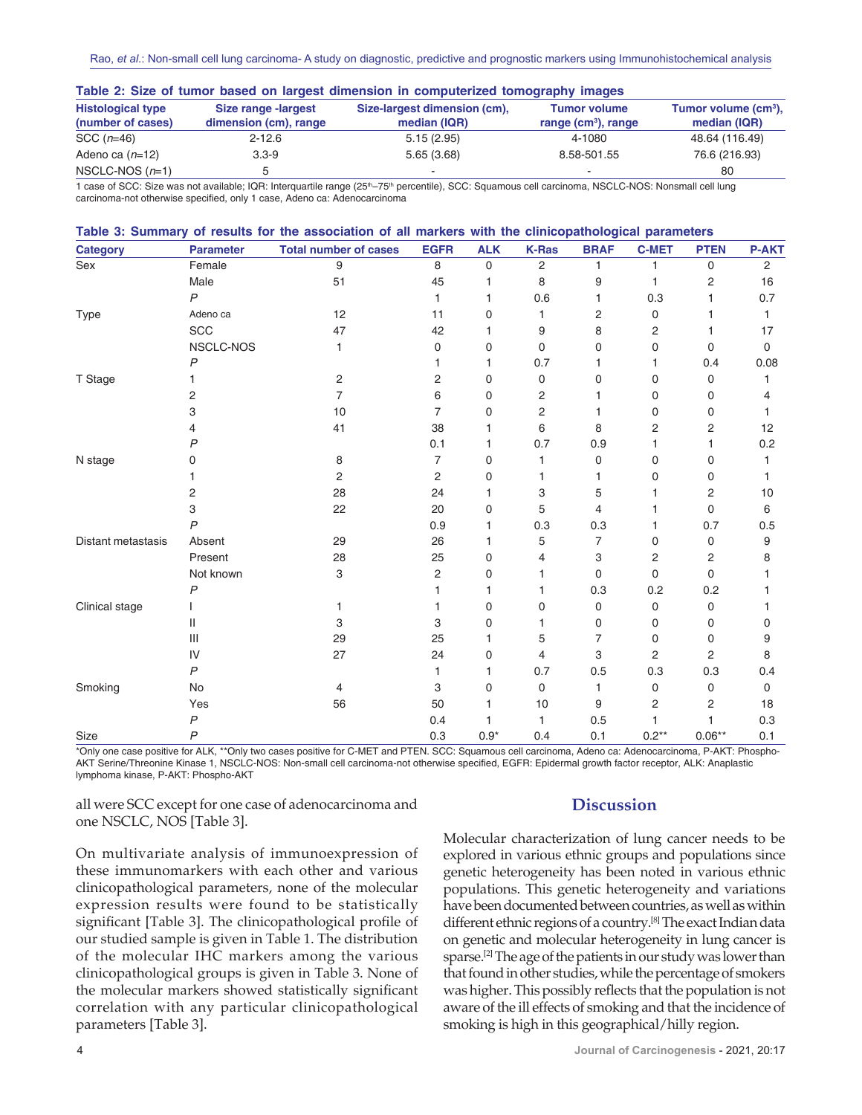| Table 2. Size of turnor based on largest differentiation in computenzed tomography images |                                              |                                              |                                              |                                                  |  |  |  |  |
|-------------------------------------------------------------------------------------------|----------------------------------------------|----------------------------------------------|----------------------------------------------|--------------------------------------------------|--|--|--|--|
| <b>Histological type</b><br>(number of cases)                                             | Size range -largest<br>dimension (cm), range | Size-largest dimension (cm),<br>median (IQR) | <b>Tumor volume</b><br>range $(cm3)$ , range | Tumor volume (cm <sup>3</sup> ),<br>median (IQR) |  |  |  |  |
| SCC $(n=46)$                                                                              | $2 - 12.6$                                   | 5.15(2.95)                                   | 4-1080                                       | 48.64 (116.49)                                   |  |  |  |  |
| Adeno ca $(n=12)$                                                                         | $3.3 - 9$                                    | 5.65(3.68)                                   | 8.58-501.55                                  | 76.6 (216.93)                                    |  |  |  |  |
| NSCLC-NOS $(n=1)$                                                                         | b                                            | $\,$                                         |                                              | 80                                               |  |  |  |  |

**Table 2: Size of tumor based on largest dimension in computerized tomography images**

1 case of SCC: Size was not available; IQR: Interquartile range (25<sup>th</sup>–75<sup>th</sup> percentile), SCC: Squamous cell carcinoma, NSCLC-NOS: Nonsmall cell lung carcinoma‑not otherwise specified, only 1 case, Adeno ca: Adenocarcinoma

| Table 3: Summary of results for the association of all markers with the clinicopathological parameters |                                       |                              |                |            |                |                |                |                |                |
|--------------------------------------------------------------------------------------------------------|---------------------------------------|------------------------------|----------------|------------|----------------|----------------|----------------|----------------|----------------|
| Category                                                                                               | <b>Parameter</b>                      | <b>Total number of cases</b> | <b>EGFR</b>    | <b>ALK</b> | <b>K-Ras</b>   | <b>BRAF</b>    | <b>C-MET</b>   | <b>PTEN</b>    | <b>P-AKT</b>   |
| Sex                                                                                                    | Female                                | 9                            | 8              | 0          | $\overline{c}$ | 1              | 1              | 0              | $\overline{2}$ |
|                                                                                                        | Male                                  | 51                           | 45             | 1          | 8              | 9              | 1              | 2              | 16             |
|                                                                                                        | P                                     |                              | 1              | 1          | 0.6            | 1              | 0.3            | 1              | 0.7            |
| <b>Type</b>                                                                                            | Adeno ca                              | 12                           | 11             | 0          | 1              | 2              | 0              |                | 1.             |
|                                                                                                        | SCC                                   | 47                           | 42             | 1          | 9              | 8              | 2              |                | 17             |
|                                                                                                        | NSCLC-NOS                             | 1                            | 0              | 0          | 0              | 0              | 0              | 0              | $\Omega$       |
|                                                                                                        | P                                     |                              | 1              | 1          | 0.7            | 1              | 1              | 0.4            | 0.08           |
| T Stage                                                                                                |                                       | $\mathbf 2$                  | 2              | 0          | $\mathbf 0$    | 0              | 0              | 0              | 1              |
|                                                                                                        | 2                                     | $\overline{7}$               | 6              | 0          | $\overline{2}$ | 1              | 0              | 0              | 4              |
|                                                                                                        | 3                                     | 10                           | $\overline{7}$ | 0          | $\overline{2}$ | 1              | 0              | 0              |                |
|                                                                                                        |                                       | 41                           | 38             | 1          | 6              | 8              | 2              | 2              | 12             |
|                                                                                                        | P                                     |                              | 0.1            | 1          | 0.7            | 0.9            | 1              | 1              | 0.2            |
| N stage                                                                                                | 0                                     | 8                            | 7              | 0          | 1              | 0              | 0              | 0              |                |
|                                                                                                        |                                       | 2                            | 2              | 0          | 1              | 1              | 0              | 0              |                |
|                                                                                                        | 2                                     | 28                           | 24             | 1          | 3              | 5              |                | 2              | 10             |
|                                                                                                        | 3                                     | 22                           | 20             | 0          | 5              | $\overline{4}$ | 1              | 0              | 6              |
|                                                                                                        | $\mathsf{P}$                          |                              | 0.9            | 1          | 0.3            | 0.3            | 1              | 0.7            | 0.5            |
| Distant metastasis                                                                                     | Absent                                | 29                           | 26             | 1          | 5              | $\overline{7}$ | 0              | 0              | 9              |
|                                                                                                        | Present                               | 28                           | 25             | 0          | 4              | 3              | 2              | 2              | 8              |
|                                                                                                        | Not known                             | 3                            | 2              | 0          | 1              | 0              | $\Omega$       | $\Omega$       |                |
|                                                                                                        | P                                     |                              | 1              | 1          | 1              | 0.3            | 0.2            | 0.2            |                |
| Clinical stage                                                                                         |                                       |                              | 1              | 0          | 0              | 0              | 0              | 0              |                |
|                                                                                                        | Ш                                     | 3                            | 3              | 0          | 1              | 0              | 0              | 0              | O              |
|                                                                                                        | $\begin{array}{c} \hline \end{array}$ | 29                           | 25             | 1          | 5              | $\overline{7}$ | 0              | 0              | 9              |
|                                                                                                        | IV                                    | 27                           | 24             | 0          | $\overline{4}$ | 3              | $\overline{2}$ | $\overline{2}$ | 8              |
|                                                                                                        | P                                     |                              | 1              | 1          | 0.7            | 0.5            | 0.3            | 0.3            | 0.4            |
| Smoking                                                                                                | No                                    | 4                            | 3              | 0          | 0              | 1              | 0              | 0              | $\mathbf 0$    |
|                                                                                                        | Yes                                   | 56                           | 50             | 1          | 10             | 9              | 2              | 2              | 18             |
|                                                                                                        | P                                     |                              | 0.4            | 1          | 1              | 0.5            | 1              |                | 0.3            |
| Size                                                                                                   | $\overline{P}$                        |                              | 0.3            | $0.9*$     | 0.4            | 0.1            | $0.2**$        | $0.06**$       | 0.1            |

\*Only one case positive for ALK, \*\*Only two cases positive for C‑MET and PTEN. SCC: Squamous cell carcinoma, Adeno ca: Adenocarcinoma, P-AKT: Phospho-AKT Serine/Threonine Kinase 1, NSCLC‑NOS: Non‑small cell carcinoma‑not otherwise specified, EGFR: Epidermal growth factor receptor, ALK: Anaplastic lymphoma kinase, P‑AKT: Phospho‑AKT

all were SCC except for one case of adenocarcinoma and one NSCLC, NOS [Table 3].

## **Discussion**

On multivariate analysis of immunoexpression of these immunomarkers with each other and various clinicopathological parameters, none of the molecular expression results were found to be statistically significant [Table 3]. The clinicopathological profile of our studied sample is given in Table 1. The distribution of the molecular IHC markers among the various clinicopathological groups is given in Table 3. None of the molecular markers showed statistically significant correlation with any particular clinicopathological parameters [Table 3].

Molecular characterization of lung cancer needs to be explored in various ethnic groups and populations since genetic heterogeneity has been noted in various ethnic populations. This genetic heterogeneity and variations have been documented between countries, as well as within different ethnic regions of a country.[8] The exact Indian data on genetic and molecular heterogeneity in lung cancer is sparse.[2] The age of the patients in our study was lower than that found in other studies, while the percentage of smokers was higher. This possibly reflects that the population is not aware of the ill effects of smoking and that the incidence of smoking is high in this geographical/hilly region.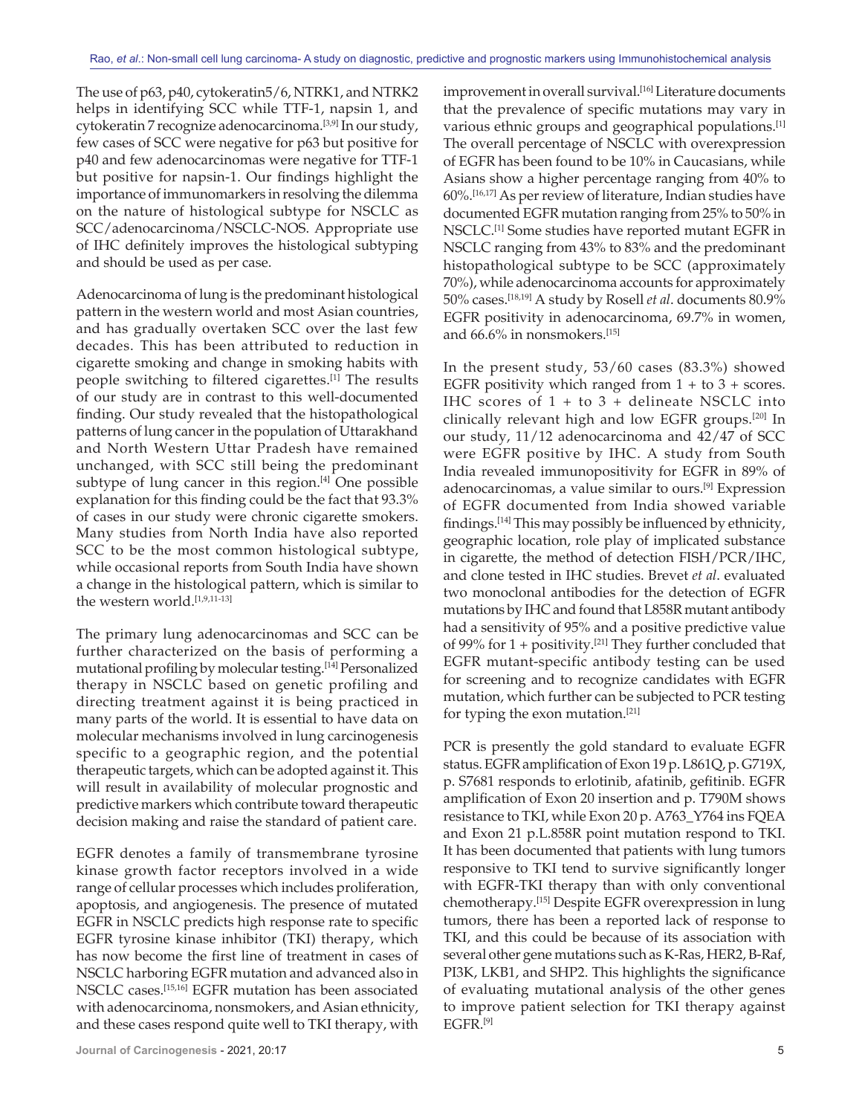The use of p63, p40, cytokeratin5/6, NTRK1, and NTRK2 helps in identifying SCC while TTF-1, napsin 1, and cytokeratin 7 recognize adenocarcinoma.<sup>[3,9]</sup> In our study, few cases of SCC were negative for p63 but positive for p40 and few adenocarcinomas were negative for TTF‑1 but positive for napsin‑1. Our findings highlight the importance of immunomarkers in resolving the dilemma on the nature of histological subtype for NSCLC as SCC/adenocarcinoma/NSCLC‑NOS. Appropriate use of IHC definitely improves the histological subtyping and should be used as per case.

Adenocarcinoma of lung is the predominant histological pattern in the western world and most Asian countries, and has gradually overtaken SCC over the last few decades. This has been attributed to reduction in cigarette smoking and change in smoking habits with people switching to filtered cigarettes.[1] The results of our study are in contrast to this well‑documented finding. Our study revealed that the histopathological patterns of lung cancer in the population of Uttarakhand and North Western Uttar Pradesh have remained unchanged, with SCC still being the predominant subtype of lung cancer in this region. $[4]$  One possible explanation for this finding could be the fact that 93.3% of cases in our study were chronic cigarette smokers. Many studies from North India have also reported SCC to be the most common histological subtype, while occasional reports from South India have shown a change in the histological pattern, which is similar to the western world.<sup>[1,9,11-13]</sup>

The primary lung adenocarcinomas and SCC can be further characterized on the basis of performing a mutational profiling by molecular testing.[14] Personalized therapy in NSCLC based on genetic profiling and directing treatment against it is being practiced in many parts of the world. It is essential to have data on molecular mechanisms involved in lung carcinogenesis specific to a geographic region, and the potential therapeutic targets, which can be adopted against it. This will result in availability of molecular prognostic and predictive markers which contribute toward therapeutic decision making and raise the standard of patient care.

EGFR denotes a family of transmembrane tyrosine kinase growth factor receptors involved in a wide range of cellular processes which includes proliferation, apoptosis, and angiogenesis. The presence of mutated EGFR in NSCLC predicts high response rate to specific EGFR tyrosine kinase inhibitor (TKI) therapy, which has now become the first line of treatment in cases of NSCLC harboring EGFR mutation and advanced also in NSCLC cases.[15,16] EGFR mutation has been associated with adenocarcinoma, nonsmokers, and Asian ethnicity, and these cases respond quite well to TKI therapy, with

improvement in overall survival.<sup>[16]</sup> Literature documents that the prevalence of specific mutations may vary in various ethnic groups and geographical populations.<sup>[1]</sup> The overall percentage of NSCLC with overexpression of EGFR has been found to be 10% in Caucasians, while Asians show a higher percentage ranging from 40% to 60%.[16,17] As per review of literature, Indian studies have documented EGFR mutation ranging from 25% to 50% in NSCLC.[1] Some studies have reported mutant EGFR in NSCLC ranging from 43% to 83% and the predominant histopathological subtype to be SCC (approximately 70%), while adenocarcinoma accounts for approximately 50% cases.[18,19] A study by Rosell *et al*. documents 80.9% EGFR positivity in adenocarcinoma, 69.7% in women, and 66.6% in nonsmokers.[15]

In the present study, 53/60 cases (83.3%) showed EGFR positivity which ranged from  $1 +$  to  $3 +$  scores. IHC scores of 1 + to 3 + delineate NSCLC into clinically relevant high and low EGFR groups.[20] In our study, 11/12 adenocarcinoma and 42/47 of SCC were EGFR positive by IHC. A study from South India revealed immunopositivity for EGFR in 89% of adenocarcinomas, a value similar to ours.[9] Expression of EGFR documented from India showed variable findings.[14] This may possibly be influenced by ethnicity, geographic location, role play of implicated substance in cigarette, the method of detection FISH/PCR/IHC, and clone tested in IHC studies. Brevet *et al*. evaluated two monoclonal antibodies for the detection of EGFR mutations by IHC and found that L858R mutant antibody had a sensitivity of 95% and a positive predictive value of 99% for  $1 +$  positivity.<sup>[21]</sup> They further concluded that EGFR mutant‑specific antibody testing can be used for screening and to recognize candidates with EGFR mutation, which further can be subjected to PCR testing for typing the exon mutation.[21]

PCR is presently the gold standard to evaluate EGFR status. EGFR amplification of Exon 19 p. L861Q, p. G719X, p. S7681 responds to erlotinib, afatinib, gefitinib. EGFR amplification of Exon 20 insertion and p. T790M shows resistance to TKI, while Exon 20 p. A763\_Y764 ins FQEA and Exon 21 p.L.858R point mutation respond to TKI. It has been documented that patients with lung tumors responsive to TKI tend to survive significantly longer with EGFR-TKI therapy than with only conventional chemotherapy.[15] Despite EGFR overexpression in lung tumors, there has been a reported lack of response to TKI, and this could be because of its association with several other gene mutations such as K‑Ras, HER2, B‑Raf, PI3K, LKB1, and SHP2. This highlights the significance of evaluating mutational analysis of the other genes to improve patient selection for TKI therapy against EGFR.[9]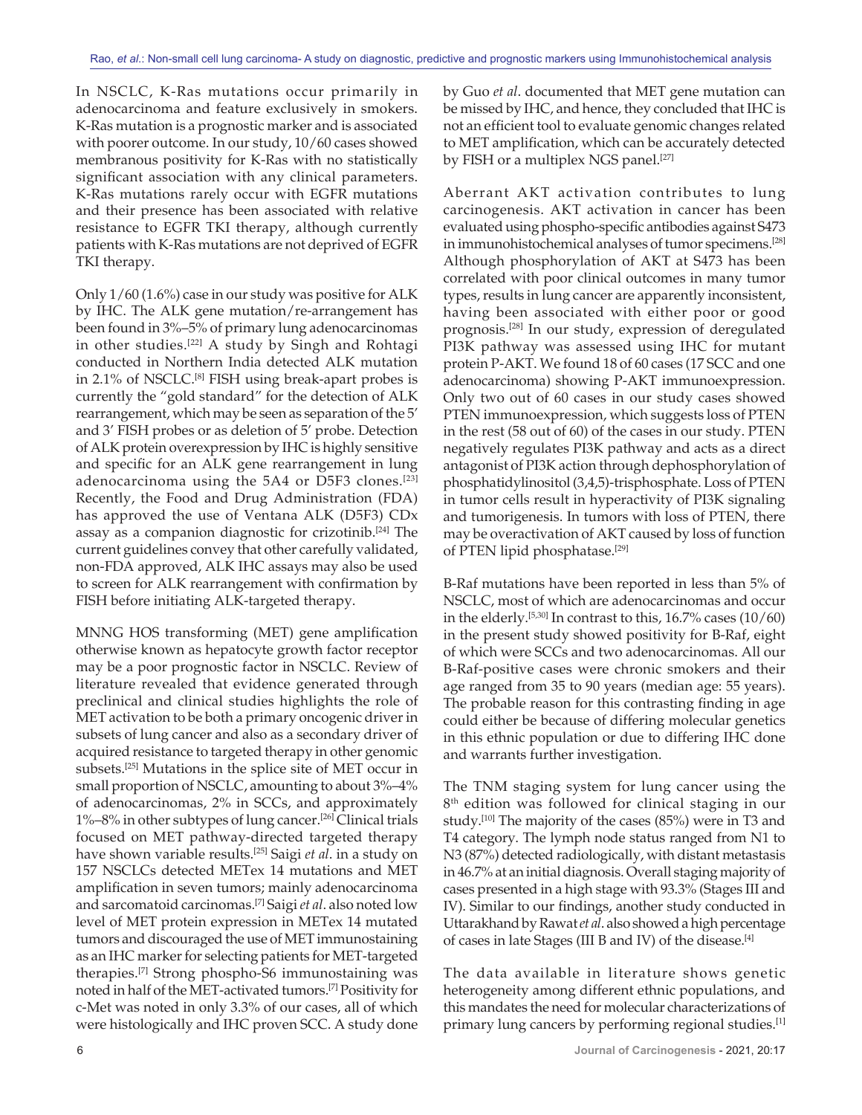In NSCLC, K‑Ras mutations occur primarily in adenocarcinoma and feature exclusively in smokers. K‑Ras mutation is a prognostic marker and is associated with poorer outcome. In our study, 10/60 cases showed membranous positivity for K‑Ras with no statistically significant association with any clinical parameters. K‑Ras mutations rarely occur with EGFR mutations and their presence has been associated with relative resistance to EGFR TKI therapy, although currently patients with K‑Ras mutations are not deprived of EGFR TKI therapy.

Only 1/60 (1.6%) case in our study was positive for ALK by IHC. The ALK gene mutation/re‑arrangement has been found in 3%–5% of primary lung adenocarcinomas in other studies.<sup>[22]</sup> A study by Singh and Rohtagi conducted in Northern India detected ALK mutation in 2.1% of NSCLC.<sup>[8]</sup> FISH using break-apart probes is currently the "gold standard" for the detection of ALK rearrangement, which may be seen as separation of the 5' and 3' FISH probes or as deletion of 5' probe. Detection of ALK protein overexpression by IHC is highly sensitive and specific for an ALK gene rearrangement in lung adenocarcinoma using the 5A4 or D5F3 clones.[23] Recently, the Food and Drug Administration (FDA) has approved the use of Ventana ALK (D5F3) CDx assay as a companion diagnostic for crizotinib.<sup>[24]</sup> The current guidelines convey that other carefully validated, non‑FDA approved, ALK IHC assays may also be used to screen for ALK rearrangement with confirmation by FISH before initiating ALK‑targeted therapy.

MNNG HOS transforming (MET) gene amplification otherwise known as hepatocyte growth factor receptor may be a poor prognostic factor in NSCLC. Review of literature revealed that evidence generated through preclinical and clinical studies highlights the role of MET activation to be both a primary oncogenic driver in subsets of lung cancer and also as a secondary driver of acquired resistance to targeted therapy in other genomic subsets.[25] Mutations in the splice site of MET occur in small proportion of NSCLC, amounting to about 3%–4% of adenocarcinomas, 2% in SCCs, and approximately 1%–8% in other subtypes of lung cancer.[26] Clinical trials focused on MET pathway‑directed targeted therapy have shown variable results.[25] Saigi *et al*. in a study on 157 NSCLCs detected METex 14 mutations and MET amplification in seven tumors; mainly adenocarcinoma and sarcomatoid carcinomas.[7] Saigi *et al*. also noted low level of MET protein expression in METex 14 mutated tumors and discouraged the use of MET immunostaining as an IHC marker for selecting patients for MET‑targeted therapies.<sup>[7]</sup> Strong phospho-S6 immunostaining was noted in half of the MET‑activated tumors.[7] Positivity for c‑Met was noted in only 3.3% of our cases, all of which were histologically and IHC proven SCC. A study done

by Guo *et al*. documented that MET gene mutation can be missed by IHC, and hence, they concluded that IHC is not an efficient tool to evaluate genomic changes related to MET amplification, which can be accurately detected by FISH or a multiplex NGS panel.<sup>[27]</sup>

Aberrant AKT activation contributes to lung carcinogenesis. AKT activation in cancer has been evaluated using phospho‑specific antibodies against S473 in immunohistochemical analyses of tumor specimens.[28] Although phosphorylation of AKT at S473 has been correlated with poor clinical outcomes in many tumor types, results in lung cancer are apparently inconsistent, having been associated with either poor or good prognosis.[28] In our study, expression of deregulated PI3K pathway was assessed using IHC for mutant protein P‑AKT. We found 18 of 60 cases (17 SCC and one adenocarcinoma) showing P‑AKT immunoexpression. Only two out of 60 cases in our study cases showed PTEN immunoexpression, which suggests loss of PTEN in the rest (58 out of 60) of the cases in our study. PTEN negatively regulates PI3K pathway and acts as a direct antagonist of PI3K action through dephosphorylation of phosphatidylinositol(3,4,5)‑trisphosphate. Loss of PTEN in tumor cells result in hyperactivity of PI3K signaling and tumorigenesis. In tumors with loss of PTEN, there may be overactivation of AKT caused by loss of function of PTEN lipid phosphatase.[29]

B‑Raf mutations have been reported in less than 5% of NSCLC, most of which are adenocarcinomas and occur in the elderly.<sup>[5,30]</sup> In contrast to this,  $16.7\%$  cases  $(10/60)$ in the present study showed positivity for B‑Raf, eight of which were SCCs and two adenocarcinomas. All our B‑Raf‑positive cases were chronic smokers and their age ranged from 35 to 90 years (median age: 55 years). The probable reason for this contrasting finding in age could either be because of differing molecular genetics in this ethnic population or due to differing IHC done and warrants further investigation.

The TNM staging system for lung cancer using the 8<sup>th</sup> edition was followed for clinical staging in our study.<sup>[10]</sup> The majority of the cases (85%) were in T3 and T4 category. The lymph node status ranged from N1 to N3 (87%) detected radiologically, with distant metastasis in 46.7% at an initial diagnosis. Overall staging majority of cases presented in a high stage with 93.3% (Stages III and IV). Similar to our findings, another study conducted in Uttarakhand by Rawat *et al*. also showed a high percentage of cases in late Stages (III B and IV) of the disease.[4]

The data available in literature shows genetic heterogeneity among different ethnic populations, and this mandates the need for molecular characterizations of primary lung cancers by performing regional studies.[1]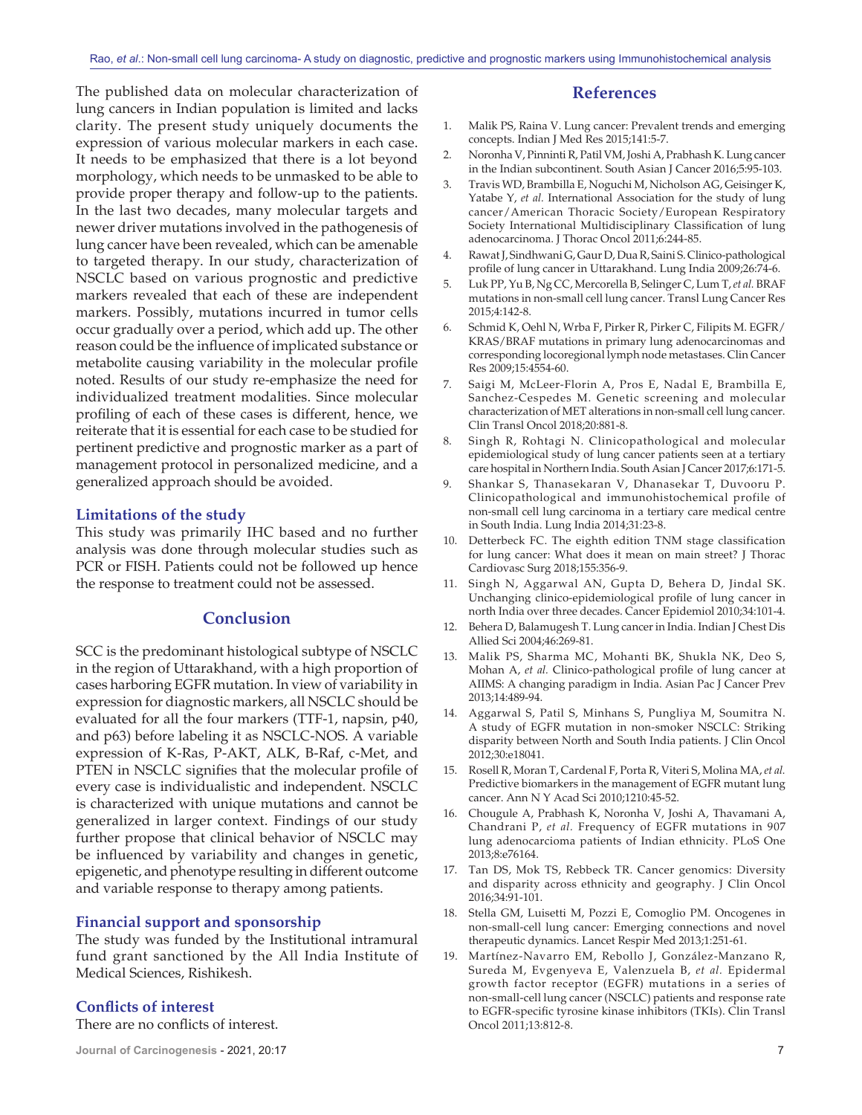The published data on molecular characterization of lung cancers in Indian population is limited and lacks clarity. The present study uniquely documents the expression of various molecular markers in each case. It needs to be emphasized that there is a lot beyond morphology, which needs to be unmasked to be able to provide proper therapy and follow‑up to the patients. In the last two decades, many molecular targets and newer driver mutations involved in the pathogenesis of lung cancer have been revealed, which can be amenable to targeted therapy. In our study, characterization of NSCLC based on various prognostic and predictive markers revealed that each of these are independent markers. Possibly, mutations incurred in tumor cells occur gradually over a period, which add up. The other reason could be the influence of implicated substance or metabolite causing variability in the molecular profile noted. Results of our study re‑emphasize the need for individualized treatment modalities. Since molecular profiling of each of these cases is different, hence, we reiterate that it is essential for each case to be studied for pertinent predictive and prognostic marker as a part of management protocol in personalized medicine, and a generalized approach should be avoided.

#### **Limitations of the study**

This study was primarily IHC based and no further analysis was done through molecular studies such as PCR or FISH. Patients could not be followed up hence the response to treatment could not be assessed.

## **Conclusion**

SCC is the predominant histological subtype of NSCLC in the region of Uttarakhand, with a high proportion of cases harboring EGFR mutation. In view of variability in expression for diagnostic markers, all NSCLC should be evaluated for all the four markers (TTF‑1, napsin, p40, and p63) before labeling it as NSCLC‑NOS. A variable expression of K‑Ras, P‑AKT, ALK, B‑Raf, c‑Met, and PTEN in NSCLC signifies that the molecular profile of every case is individualistic and independent. NSCLC is characterized with unique mutations and cannot be generalized in larger context. Findings of our study further propose that clinical behavior of NSCLC may be influenced by variability and changes in genetic, epigenetic, and phenotype resulting in different outcome and variable response to therapy among patients.

#### **Financial support and sponsorship**

The study was funded by the Institutional intramural fund grant sanctioned by the All India Institute of Medical Sciences, Rishikesh.

#### **Conflicts of interest**

There are no conflicts of interest.

#### **References**

- 1. Malik PS, Raina V. Lung cancer: Prevalent trends and emerging concepts. Indian J Med Res 2015;141:5‑7.
- 2. Noronha V, Pinninti R, Patil VM, Joshi A, Prabhash K. Lung cancer in the Indian subcontinent. South Asian J Cancer 2016;5:95-103.
- 3. Travis WD, Brambilla E, Noguchi M, Nicholson AG, Geisinger K, Yatabe Y, *et al.* International Association for the study of lung cancer/American Thoracic Society/European Respiratory Society International Multidisciplinary Classification of lung adenocarcinoma. J Thorac Oncol 2011;6:244-85.
- 4. RawatJ, Sindhwani G, Gaur D, DuaR, Saini S. Clinico-pathological profile of lung cancer in Uttarakhand. Lung India 2009;26:74-6.
- 5. Luk PP, Yu B, Ng CC, Mercorella B, Selinger C, Lum T, *et al.* BRAF mutations in non‑small cell lung cancer. Transl Lung Cancer Res 2015;4:142‑8.
- 6. Schmid K, Oehl N, Wrba F, Pirker R, Pirker C, Filipits M. EGFR/ KRAS/BRAF mutations in primary lung adenocarcinomas and corresponding locoregional lymph node metastases. Clin Cancer Res 2009;15:4554‑60.
- 7. Saigi M, McLeer‑Florin A, Pros E, Nadal E, Brambilla E, Sanchez‑Cespedes M. Genetic screening and molecular characterization of MET alterations in non‑small cell lung cancer. Clin Transl Oncol 2018;20:881‑8.
- Singh R, Rohtagi N. Clinicopathological and molecular epidemiological study of lung cancer patients seen at a tertiary care hospital in Northern India. South Asian J Cancer 2017;6:171‑5.
- 9. Shankar S, Thanasekaran V, Dhanasekar T, Duvooru P. Clinicopathological and immunohistochemical profile of non‑small cell lung carcinoma in a tertiary care medical centre in South India. Lung India 2014;31:23‑8.
- 10. Detterbeck FC. The eighth edition TNM stage classification for lung cancer: What does it mean on main street? J Thorac Cardiovasc Surg 2018;155:356‑9.
- 11. Singh N, Aggarwal AN, Gupta D, Behera D, Jindal SK. Unchanging clinico‑epidemiological profile of lung cancer in north India over three decades. Cancer Epidemiol 2010;34:101-4.
- 12. Behera D, Balamugesh T. Lung cancer in India. Indian J Chest Dis Allied Sci 2004;46:269‑81.
- 13. Malik PS, Sharma MC, Mohanti BK, Shukla NK, Deo S, Mohan A, et al. Clinico-pathological profile of lung cancer at AIIMS: A changing paradigm in India. Asian Pac J Cancer Prev 2013;14:489‑94.
- 14. Aggarwal S, Patil S, Minhans S, Pungliya M, Soumitra N. A study of EGFR mutation in non‑smoker NSCLC: Striking disparity between North and South India patients. J Clin Oncol 2012;30:e18041.
- 15. Rosell R, Moran T, Cardenal F, Porta R, Viteri S, Molina MA, *et al.* Predictive biomarkers in the management of EGFR mutant lung cancer. Ann N Y Acad Sci 2010;1210:45‑52.
- 16. Chougule A, Prabhash K, Noronha V, Joshi A, Thavamani A, Chandrani P, *et al.* Frequency of EGFR mutations in 907 lung adenocarcioma patients of Indian ethnicity. PLoS One 2013;8:e76164.
- 17. Tan DS, Mok TS, Rebbeck TR. Cancer genomics: Diversity and disparity across ethnicity and geography. J Clin Oncol 2016;34:91‑101.
- 18. Stella GM, Luisetti M, Pozzi E, Comoglio PM. Oncogenes in non‑small‑cell lung cancer: Emerging connections and novel therapeutic dynamics. Lancet Respir Med 2013;1:251‑61.
- 19. Martínez‑Navarro EM, Rebollo J, González‑Manzano R, Sureda M, Evgenyeva E, Valenzuela B, *et al.* Epidermal growth factor receptor (EGFR) mutations in a series of non‑small‑cell lung cancer (NSCLC) patients and response rate to EGFR‑specific tyrosine kinase inhibitors (TKIs). Clin Transl Oncol 2011;13:812‑8.